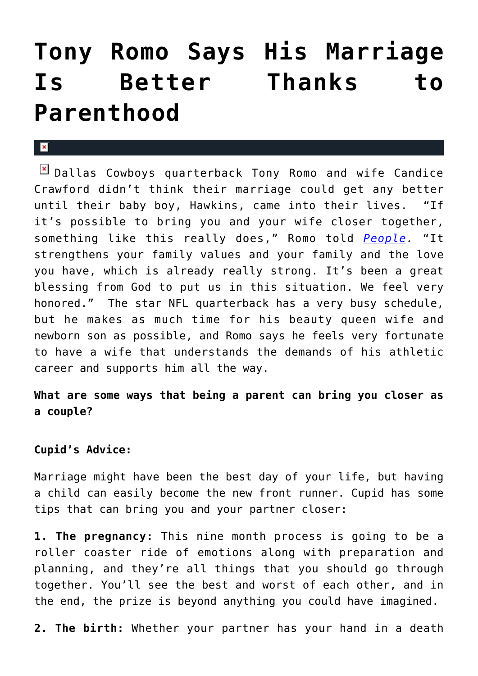## **[Tony Romo Says His Marriage](https://cupidspulse.com/31282/nfl-dallas-cowboys-quarterback-tony-romo-marriage-candice-crawford-better-parenthood/) [Is Better Thanks to](https://cupidspulse.com/31282/nfl-dallas-cowboys-quarterback-tony-romo-marriage-candice-crawford-better-parenthood/) [Parenthood](https://cupidspulse.com/31282/nfl-dallas-cowboys-quarterback-tony-romo-marriage-candice-crawford-better-parenthood/)**

## $\mathbf{x}$

**E** Dallas Cowboys quarterback Tony Romo and wife Candice Crawford didn't think their marriage could get any better until their baby boy, Hawkins, came into their lives. "If it's possible to bring you and your wife closer together, something like this really does," Romo told *[People](http://www.people.com/people/article/0,,20595852,00.html).* "It strengthens your family values and your family and the love you have, which is already really strong. It's been a great blessing from God to put us in this situation. We feel very honored." The star NFL quarterback has a very busy schedule, but he makes as much time for his beauty queen wife and newborn son as possible, and Romo says he feels very fortunate to have a wife that understands the demands of his athletic career and supports him all the way.

**What are some ways that being a parent can bring you closer as a couple?**

## **Cupid's Advice:**

Marriage might have been the best day of your life, but having a child can easily become the new front runner. Cupid has some tips that can bring you and your partner closer:

**1. The pregnancy:** This nine month process is going to be a roller coaster ride of emotions along with preparation and planning, and they're all things that you should go through together. You'll see the best and worst of each other, and in the end, the prize is beyond anything you could have imagined.

**2. The birth:** Whether your partner has your hand in a death